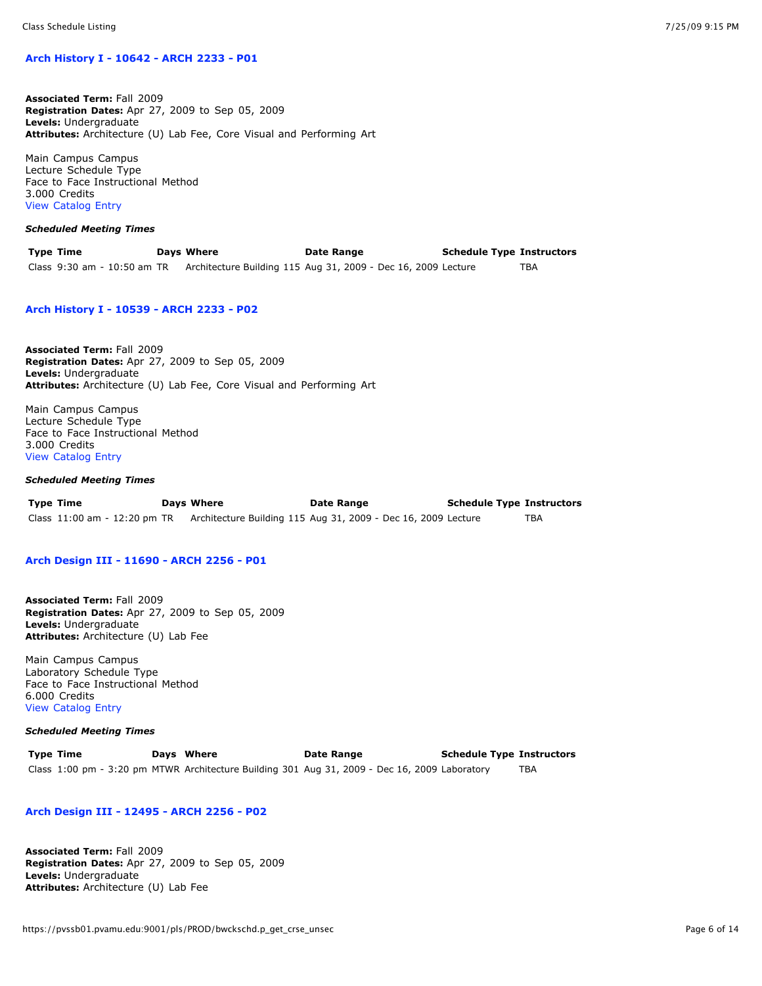## **[Arch History I - 10642 - ARCH 2233 - P01](https://pvssb01.pvamu.edu:9001/pls/PROD/bwckschd.p_disp_detail_sched?term_in=201010&crn_in=10642)**

**Associated Term:** Fall 2009 **Registration Dates:** Apr 27, 2009 to Sep 05, 2009 **Levels:** Undergraduate **Attributes:** Architecture (U) Lab Fee, Core Visual and Performing Art

Main Campus Campus Lecture Schedule Type Face to Face Instructional Method 3.000 Credits [View Catalog Entry](https://pvssb01.pvamu.edu:9001/pls/PROD/bwckctlg.p_display_courses?term_in=201010&one_subj=ARCH&sel_crse_strt=2233&sel_crse_end=2233&sel_subj=&sel_levl=&sel_schd=&sel_coll=&sel_divs=&sel_dept=&sel_attr=)

#### *Scheduled Meeting Times*

| <b>Type Time</b>            | Days Where                                                    | Date Range | <b>Schedule Type Instructors</b> |     |
|-----------------------------|---------------------------------------------------------------|------------|----------------------------------|-----|
| Class 9:30 am - 10:50 am TR | Architecture Building 115 Aug 31, 2009 - Dec 16, 2009 Lecture |            |                                  | TBA |

## **[Arch History I - 10539 - ARCH 2233 - P02](https://pvssb01.pvamu.edu:9001/pls/PROD/bwckschd.p_disp_detail_sched?term_in=201010&crn_in=10539)**

**Associated Term:** Fall 2009 **Registration Dates:** Apr 27, 2009 to Sep 05, 2009 **Levels:** Undergraduate **Attributes:** Architecture (U) Lab Fee, Core Visual and Performing Art

Main Campus Campus Lecture Schedule Type Face to Face Instructional Method 3.000 Credits [View Catalog Entry](https://pvssb01.pvamu.edu:9001/pls/PROD/bwckctlg.p_display_courses?term_in=201010&one_subj=ARCH&sel_crse_strt=2233&sel_crse_end=2233&sel_subj=&sel_levl=&sel_schd=&sel_coll=&sel_divs=&sel_dept=&sel_attr=)

# *Scheduled Meeting Times*

| Type Time | Days Where | Date Range                                                                                 | <b>Schedule Type Instructors</b> |     |
|-----------|------------|--------------------------------------------------------------------------------------------|----------------------------------|-----|
|           |            | Class 11:00 am - 12:20 pm TR Architecture Building 115 Aug 31, 2009 - Dec 16, 2009 Lecture |                                  | TBA |

## **[Arch Design III - 11690 - ARCH 2256 - P01](https://pvssb01.pvamu.edu:9001/pls/PROD/bwckschd.p_disp_detail_sched?term_in=201010&crn_in=11690)**

**Associated Term:** Fall 2009 **Registration Dates:** Apr 27, 2009 to Sep 05, 2009 **Levels:** Undergraduate **Attributes:** Architecture (U) Lab Fee

Main Campus Campus Laboratory Schedule Type Face to Face Instructional Method 6.000 Credits [View Catalog Entry](https://pvssb01.pvamu.edu:9001/pls/PROD/bwckctlg.p_display_courses?term_in=201010&one_subj=ARCH&sel_crse_strt=2256&sel_crse_end=2256&sel_subj=&sel_levl=&sel_schd=&sel_coll=&sel_divs=&sel_dept=&sel_attr=)

#### *Scheduled Meeting Times*

**Type Time Days Where Date Range Schedule Type Instructors** Class 1:00 pm - 3:20 pm MTWR Architecture Building 301 Aug 31, 2009 - Dec 16, 2009 Laboratory TBA

#### **[Arch Design III - 12495 - ARCH 2256 - P02](https://pvssb01.pvamu.edu:9001/pls/PROD/bwckschd.p_disp_detail_sched?term_in=201010&crn_in=12495)**

**Associated Term:** Fall 2009 **Registration Dates:** Apr 27, 2009 to Sep 05, 2009 **Levels:** Undergraduate **Attributes:** Architecture (U) Lab Fee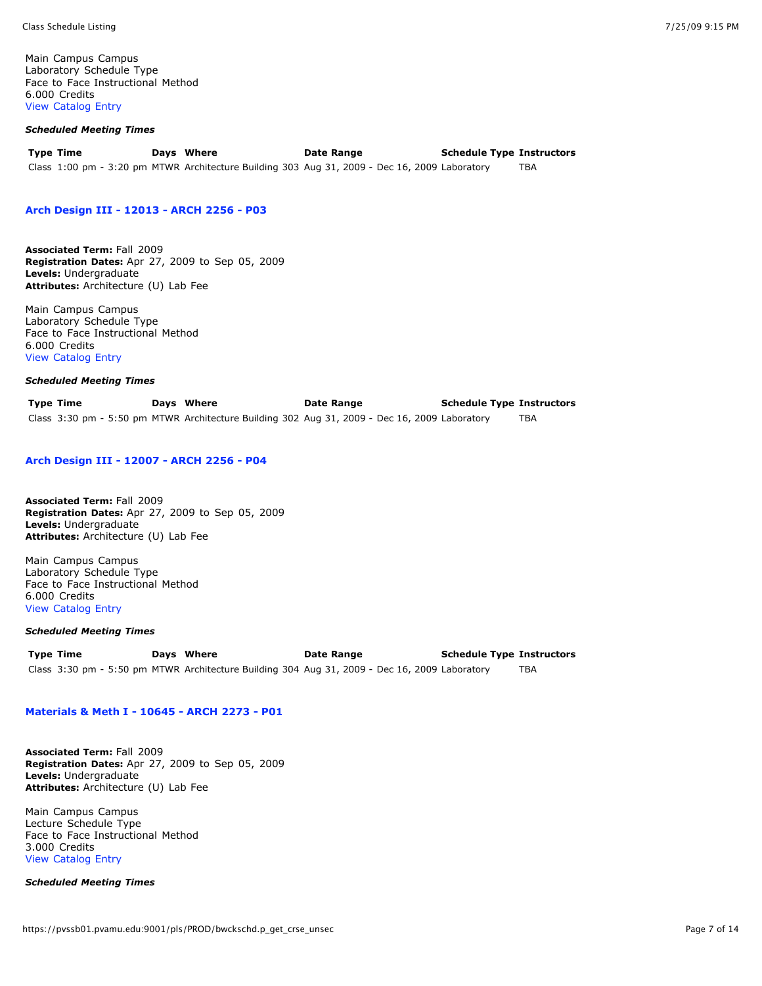Main Campus Campus Laboratory Schedule Type Face to Face Instructional Method 6.000 Credits [View Catalog Entry](https://pvssb01.pvamu.edu:9001/pls/PROD/bwckctlg.p_display_courses?term_in=201010&one_subj=ARCH&sel_crse_strt=2256&sel_crse_end=2256&sel_subj=&sel_levl=&sel_schd=&sel_coll=&sel_divs=&sel_dept=&sel_attr=)

## *Scheduled Meeting Times*

| <b>Type Time</b> | Days Where | <b>Date Range</b>                                                                             | <b>Schedule Type Instructors</b> |     |
|------------------|------------|-----------------------------------------------------------------------------------------------|----------------------------------|-----|
|                  |            | Class 1:00 pm - 3:20 pm MTWR Architecture Building 303 Aug 31, 2009 - Dec 16, 2009 Laboratory |                                  | TBA |

#### **[Arch Design III - 12013 - ARCH 2256 - P03](https://pvssb01.pvamu.edu:9001/pls/PROD/bwckschd.p_disp_detail_sched?term_in=201010&crn_in=12013)**

**Associated Term:** Fall 2009 **Registration Dates:** Apr 27, 2009 to Sep 05, 2009 **Levels:** Undergraduate **Attributes:** Architecture (U) Lab Fee

Main Campus Campus Laboratory Schedule Type Face to Face Instructional Method 6.000 Credits [View Catalog Entry](https://pvssb01.pvamu.edu:9001/pls/PROD/bwckctlg.p_display_courses?term_in=201010&one_subj=ARCH&sel_crse_strt=2256&sel_crse_end=2256&sel_subj=&sel_levl=&sel_schd=&sel_coll=&sel_divs=&sel_dept=&sel_attr=)

#### *Scheduled Meeting Times*

**Type Time Days Where Date Range Schedule Type Instructors** Class 3:30 pm - 5:50 pm MTWR Architecture Building 302 Aug 31, 2009 - Dec 16, 2009 Laboratory TBA

## **[Arch Design III - 12007 - ARCH 2256 - P04](https://pvssb01.pvamu.edu:9001/pls/PROD/bwckschd.p_disp_detail_sched?term_in=201010&crn_in=12007)**

**Associated Term:** Fall 2009 **Registration Dates:** Apr 27, 2009 to Sep 05, 2009 **Levels:** Undergraduate **Attributes:** Architecture (U) Lab Fee

Main Campus Campus Laboratory Schedule Type Face to Face Instructional Method 6.000 Credits [View Catalog Entry](https://pvssb01.pvamu.edu:9001/pls/PROD/bwckctlg.p_display_courses?term_in=201010&one_subj=ARCH&sel_crse_strt=2256&sel_crse_end=2256&sel_subj=&sel_levl=&sel_schd=&sel_coll=&sel_divs=&sel_dept=&sel_attr=)

### *Scheduled Meeting Times*

**Type Time Days Where Date Range Schedule Type Instructors** Class 3:30 pm - 5:50 pm MTWR Architecture Building 304 Aug 31, 2009 - Dec 16, 2009 Laboratory TBA

# **[Materials & Meth I - 10645 - ARCH 2273 - P01](https://pvssb01.pvamu.edu:9001/pls/PROD/bwckschd.p_disp_detail_sched?term_in=201010&crn_in=10645)**

**Associated Term:** Fall 2009 **Registration Dates:** Apr 27, 2009 to Sep 05, 2009 **Levels:** Undergraduate **Attributes:** Architecture (U) Lab Fee

Main Campus Campus Lecture Schedule Type Face to Face Instructional Method 3.000 Credits [View Catalog Entry](https://pvssb01.pvamu.edu:9001/pls/PROD/bwckctlg.p_display_courses?term_in=201010&one_subj=ARCH&sel_crse_strt=2273&sel_crse_end=2273&sel_subj=&sel_levl=&sel_schd=&sel_coll=&sel_divs=&sel_dept=&sel_attr=)

*Scheduled Meeting Times*